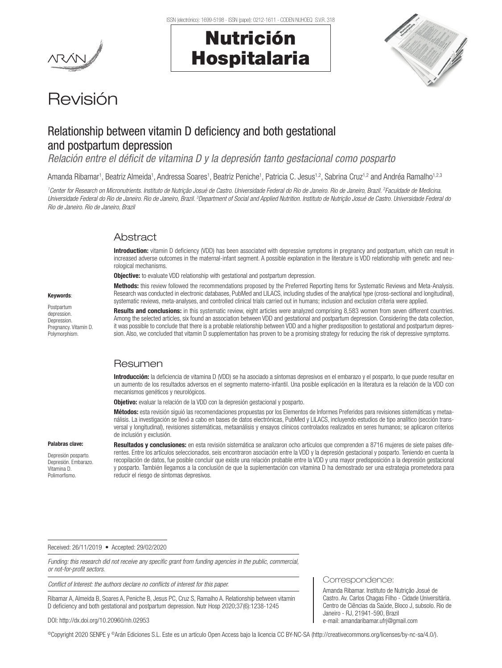# Nutrición Hospitalaria



# Revisión

# Relationship between vitamin D deficiency and both gestational and postpartum depression

*Relación entre el déficit de vitamina D y la depresión tanto gestacional como posparto*

Amanda Ribamar<sup>1</sup>, Beatriz Almeida<sup>1</sup>, Andressa Soares<sup>1</sup>, Beatriz Peniche<sup>1</sup>, Patricia C. Jesus<sup>1,2</sup>, Sabrina Cruz<sup>1,2</sup> and Andréa Ramalho<sup>1,2,3</sup>

*1 Center for Research on Micronutrients. Instituto de Nutrição Josué de Castro. Universidade Federal do Rio de Janeiro. Rio de Janeiro, Brazil. 2 Faculdade de Medicina.*  Universidade Federal do Rio de Janeiro. Rio de Janeiro, Brazil. <sup>3</sup>Department of Social and Applied Nutrition. Instituto de Nutrição Josué de Castro. Universidade Federal do *Rio de Janeiro. Rio de Janeiro, Brazil*

# **Abstract**

Introduction: vitamin D deficiency (VDD) has been associated with depressive symptoms in pregnancy and postpartum, which can result in increased adverse outcomes in the maternal-infant segment. A possible explanation in the literature is VDD relationship with genetic and neurological mechanisms.

**Objective:** to evaluate VDD relationship with gestational and postpartum depression.

Methods: this review followed the recommendations proposed by the Preferred Reporting Items for Systematic Reviews and Meta-Analysis. Research was conducted in electronic databases, PubMed and LILACS, including studies of the analytical type (cross-sectional and longitudinal), systematic reviews, meta-analyses, and controlled clinical trials carried out in humans; inclusion and exclusion criteria were applied.

Results and conclusions: in this systematic review, eight articles were analyzed comprising 8,583 women from seven different countries. Among the selected articles, six found an association between VDD and gestational and postpartum depression. Considering the data collection, it was possible to conclude that there is a probable relationship between VDD and a higher predisposition to gestational and postpartum depression. Also, we concluded that vitamin D supplementation has proven to be a promising strategy for reducing the risk of depressive symptoms.

# Resumen

Introducción: la deficiencia de vitamina D (VDD) se ha asociado a síntomas depresivos en el embarazo y el posparto, lo que puede resultar en un aumento de los resultados adversos en el segmento materno-infantil. Una posible explicación en la literatura es la relación de la VDD con mecanismos genéticos y neurológicos.

Objetivo: evaluar la relación de la VDD con la depresión gestacional y posparto.

Métodos: esta revisión siguió las recomendaciones propuestas por los Elementos de Informes Preferidos para revisiones sistemáticas y metaanálisis. La investigación se llevó a cabo en bases de datos electrónicas, PubMed y LILACS, incluyendo estudios de tipo analítico (sección transversal y longitudinal), revisiones sistemáticas, metaanálisis y ensayos clínicos controlados realizados en seres humanos; se aplicaron criterios de inclusión y exclusión.

#### Palabras clave:

Keywords:

Depresión posparto. Depresión. Embarazo. Vitamina D. Polimorfismo.

Resultados y conclusiones: en esta revisión sistemática se analizaron ocho artículos que comprenden a 8716 mujeres de siete países diferentes. Entre los artículos seleccionados, seis encontraron asociación entre la VDD y la depresión gestacional y posparto. Teniendo en cuenta la recopilación de datos, fue posible concluir que existe una relación probable entre la VDD y una mayor predisposición a la depresión gestacional y posparto. También llegamos a la conclusión de que la suplementación con vitamina D ha demostrado ser una estrategia prometedora para reducir el riesgo de síntomas depresivos.

Received: 26/11/2019 • Accepted: 29/02/2020

*Funding: this research did not receive any specific grant from funding agencies in the public, commercial, or not-for-profit sectors.*

*Conflict of Interest: the authors declare no conflicts of interest for this paper.* 

Ribamar A, Almeida B, Soares A, Peniche B, Jesus PC, Cruz S, Ramalho A. Relationship between vitamin D deficiency and both gestational and postpartum depression. Nutr Hosp 2020;37(6):1238-1245

#### DOI: http://dx.doi.org/10.20960/nh.02953

©Copyright 2020 SENPE y ©Arán Ediciones S.L. Este es un artículo Open Access bajo la licencia CC BY-NC-SA (http://creativecommons.org/licenses/by-nc-sa/4.0/).

Postpartum depression. Depression. Pregnancy. Vitamin D. Polymorphism.

Correspondence:

Amanda Ribamar. Instituto de Nutrição Josué de Castro. Av. Carlos Chagas Filho - Cidade Universitária. Centro de Ciências da Saúde, Bloco J, subsolo. Rio de Janeiro - RJ, 21941-590, Brazil e-mail: amandaribamar.ufrj@gmail.com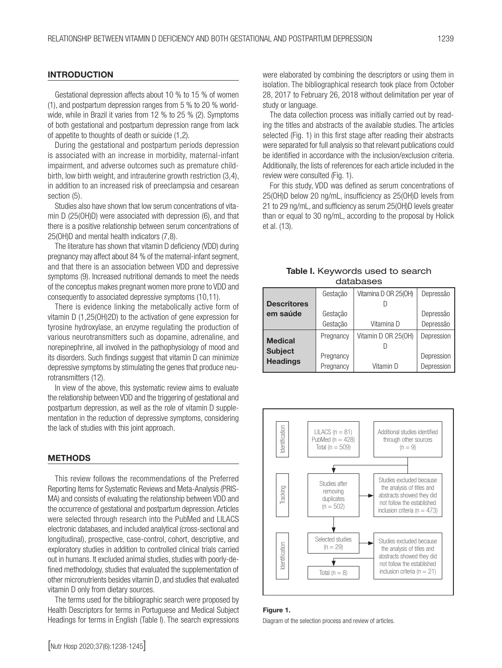## **INTRODUCTION**

Gestational depression affects about 10 % to 15 % of women (1), and postpartum depression ranges from 5 % to 20 % worldwide, while in Brazil it varies from 12 % to 25 % (2). Symptoms of both gestational and postpartum depression range from lack of appetite to thoughts of death or suicide (1,2).

During the gestational and postpartum periods depression is associated with an increase in morbidity, maternal-infant impairment, and adverse outcomes such as premature childbirth, low birth weight, and intrauterine growth restriction (3,4), in addition to an increased risk of preeclampsia and cesarean section (5).

Studies also have shown that low serum concentrations of vitamin D (25(OH)D) were associated with depression (6), and that there is a positive relationship between serum concentrations of 25(OH)D and mental health indicators (7,8).

The literature has shown that vitamin D deficiency (VDD) during pregnancy may affect about 84 % of the maternal-infant segment, and that there is an association between VDD and depressive symptoms (9). Increased nutritional demands to meet the needs of the conceptus makes pregnant women more prone to VDD and consequently to associated depressive symptoms (10,11).

There is evidence linking the metabolically active form of vitamin D (1,25(OH)2D) to the activation of gene expression for tyrosine hydroxylase, an enzyme regulating the production of various neurotransmitters such as dopamine, adrenaline, and norepinephrine, all involved in the pathophysiology of mood and its disorders. Such findings suggest that vitamin D can minimize depressive symptoms by stimulating the genes that produce neurotransmitters (12).

In view of the above, this systematic review aims to evaluate the relationship between VDD and the triggering of gestational and postpartum depression, as well as the role of vitamin D supplementation in the reduction of depressive symptoms, considering the lack of studies with this joint approach.

#### METHODS

This review follows the recommendations of the Preferred Reporting Items for Systematic Reviews and Meta-Analysis (PRIS-MA) and consists of evaluating the relationship between VDD and the occurrence of gestational and postpartum depression. Articles were selected through research into the PubMed and LILACS electronic databases, and included analytical (cross-sectional and longitudinal), prospective, case-control, cohort, descriptive, and exploratory studies in addition to controlled clinical trials carried out in humans. It excluded animal studies, studies with poorly-defined methodology, studies that evaluated the supplementation of other micronutrients besides vitamin D, and studies that evaluated vitamin D only from dietary sources.

The terms used for the bibliographic search were proposed by Health Descriptors for terms in Portuguese and Medical Subject Headings for terms in English (Table I). The search expressions

were elaborated by combining the descriptors or using them in isolation. The bibliographical research took place from October 28, 2017 to February 26, 2018 without delimitation per year of study or language.

The data collection process was initially carried out by reading the titles and abstracts of the available studies. The articles selected (Fig. 1) in this first stage after reading their abstracts were separated for full analysis so that relevant publications could be identified in accordance with the inclusion/exclusion criteria. Additionally, the lists of references for each article included in the review were consulted (Fig. 1).

For this study, VDD was defined as serum concentrations of 25(OH)D below 20 ng/mL, insufficiency as 25(OH)D levels from 21 to 29 ng/mL, and sufficiency as serum 25(OH)D levels greater than or equal to 30 ng/mL, according to the proposal by Holick et al. (13).

|  | <b>Table I.</b> Keywords used to search<br>databases |  |
|--|------------------------------------------------------|--|
|  | Gestação   Vitamina D OR 25(OH)   Depre              |  |

|                                   | Gestação  | Vitamina D OR 25(OH) | Depressão  |
|-----------------------------------|-----------|----------------------|------------|
| <b>Descritores</b>                |           |                      |            |
| em saúde                          | Gestação  |                      | Depressão  |
|                                   | Gestação  | Vitamina D           | Depressão  |
| <b>Medical</b>                    | Pregnancy | Vitamin D OR 25(OH)  | Depression |
|                                   |           |                      |            |
| <b>Subject</b><br><b>Headings</b> | Pregnancy |                      | Depression |
|                                   | Pregnancy | Vitamin D            | Depression |



#### Figure 1.

Diagram of the selection process and review of articles.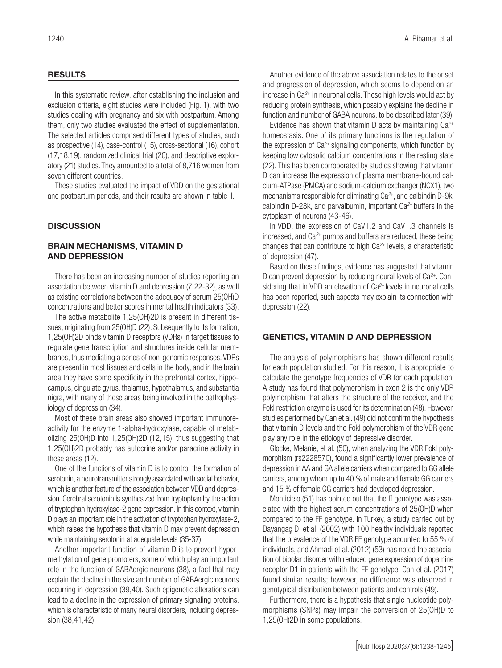#### RESULTS

In this systematic review, after establishing the inclusion and exclusion criteria, eight studies were included (Fig. 1), with two studies dealing with pregnancy and six with postpartum. Among them, only two studies evaluated the effect of supplementation. The selected articles comprised different types of studies, such as prospective (14), case-control (15), cross-sectional (16), cohort (17,18,19), randomized clinical trial (20), and descriptive exploratory (21) studies. They amounted to a total of 8,716 women from seven different countries.

These studies evaluated the impact of VDD on the gestational and postpartum periods, and their results are shown in table II.

#### **DISCUSSION**

# BRAIN MECHANISMS, VITAMIN D AND DEPRESSION

There has been an increasing number of studies reporting an association between vitamin D and depression (7,22-32), as well as existing correlations between the adequacy of serum 25(OH)D concentrations and better scores in mental health indicators (33).

The active metabolite 1,25(OH)2D is present in different tissues, originating from 25(OH)D (22). Subsequently to its formation, 1,25(OH)2D binds vitamin D receptors (VDRs) in target tissues to regulate gene transcription and structures inside cellular membranes, thus mediating a series of non-genomic responses. VDRs are present in most tissues and cells in the body, and in the brain area they have some specificity in the prefrontal cortex, hippocampus, cingulate gyrus, thalamus, hypothalamus, and substantia nigra, with many of these areas being involved in the pathophysiology of depression (34).

Most of these brain areas also showed important immunoreactivity for the enzyme 1-alpha-hydroxylase, capable of metabolizing 25(OH)D into 1,25(OH)2D (12,15), thus suggesting that 1,25(OH)2D probably has autocrine and/or paracrine activity in these areas (12).

One of the functions of vitamin D is to control the formation of serotonin, a neurotransmitter strongly associated with social behavior, which is another feature of the association between VDD and depression. Cerebral serotonin is synthesized from tryptophan by the action of tryptophan hydroxylase-2 gene expression. In this context, vitamin D plays an important role in the activation of tryptophan hydroxylase-2, which raises the hypothesis that vitamin D may prevent depression while maintaining serotonin at adequate levels (35-37).

Another important function of vitamin D is to prevent hypermethylation of gene promoters, some of which play an important role in the function of GABAergic neurons (38), a fact that may explain the decline in the size and number of GABAergic neurons occurring in depression (39,40). Such epigenetic alterations can lead to a decline in the expression of primary signaling proteins, which is characteristic of many neural disorders, including depression (38,41,42).

Another evidence of the above association relates to the onset and progression of depression, which seems to depend on an increase in Ca*2*+ in neuronal cells. These high levels would act by reducing protein synthesis, which possibly explains the decline in function and number of GABA neurons, to be described later (39).

Evidence has shown that vitamin D acts by maintaining Ca*2*<sup>+</sup> homeostasis. One of its primary functions is the regulation of the expression of Ca*2*+ signaling components, which function by keeping low cytosolic calcium concentrations in the resting state (22). This has been corroborated by studies showing that vitamin D can increase the expression of plasma membrane-bound calcium-ATPase (PMCA) and sodium-calcium exchanger (NCX1), two mechanisms responsible for eliminating Ca*2*+, and calbindin D-9k, calbindin D-28k, and parvalbumin, important Ca*2*+ buffers in the cytoplasm of neurons (43-46).

In VDD, the expression of CaV1.2 and CaV1.3 channels is increased, and Ca*2*+ pumps and buffers are reduced, these being changes that can contribute to high Ca*2*+ levels, a characteristic of depression (47).

Based on these findings, evidence has suggested that vitamin D can prevent depression by reducing neural levels of Ca*2*+. Considering that in VDD an elevation of Ca*2*+ levels in neuronal cells has been reported, such aspects may explain its connection with depression (22).

# GENETICS, VITAMIN D AND DEPRESSION

The analysis of polymorphisms has shown different results for each population studied. For this reason, it is appropriate to calculate the genotype frequencies of VDR for each population. A study has found that polymorphism in exon 2 is the only VDR polymorphism that alters the structure of the receiver, and the FokI restriction enzyme is used for its determination (48). However, studies performed by Can et al. (49) did not confirm the hypothesis that vitamin D levels and the FokI polymorphism of the VDR gene play any role in the etiology of depressive disorder.

Glocke, Melanie, et al. (50), when analyzing the VDR FokI polymorphism (rs2228570), found a significantly lower prevalence of depression in AA and GA allele carriers when compared to GG allele carriers, among whom up to 40 % of male and female GG carriers and 15 % of female GG carriers had developed depression.

Monticielo (51) has pointed out that the ff genotype was associated with the highest serum concentrations of 25(OH)D when compared to the FF genotype. In Turkey, a study carried out by Dayangaç D, et al. (2002) with 100 healthy individuals reported that the prevalence of the VDR FF genotype acounted to 55 % of individuals, and Ahmadi et al. (2012) (53) has noted the association of bipolar disorder with reduced gene expression of dopamine receptor D1 in patients with the FF genotype. Can et al. (2017) found similar results; however, no difference was observed in genotypical distribution between patients and controls (49).

Furthermore, there is a hypothesis that single nucleotide polymorphisms (SNPs) may impair the conversion of 25(OH)D to 1,25(OH)2D in some populations.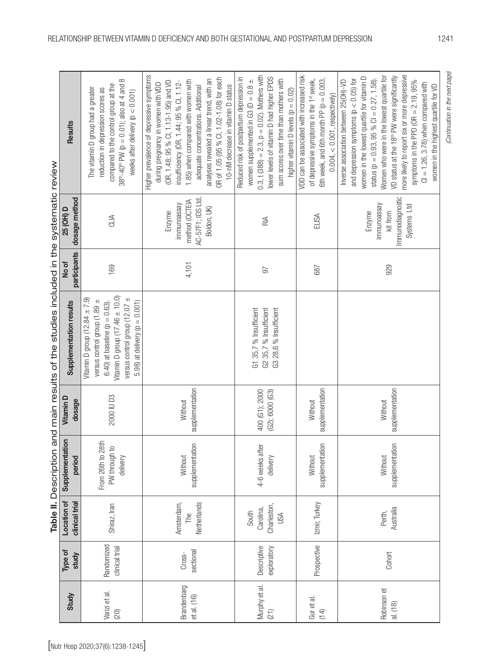| Jescription and main results of the studies included in the systematic revie- |  |
|-------------------------------------------------------------------------------|--|
| Table II. Description                                                         |  |
|                                                                               |  |
|                                                                               |  |

|                                 |                            |                              |                                          | Table II. Description                          |                                   | and main results of the studies included in the systematic review                                                                                                                                                    |                       |                                                                             |                                                                                                                                                                                                                                                                                                                                                                                                                                                                       |
|---------------------------------|----------------------------|------------------------------|------------------------------------------|------------------------------------------------|-----------------------------------|----------------------------------------------------------------------------------------------------------------------------------------------------------------------------------------------------------------------|-----------------------|-----------------------------------------------------------------------------|-----------------------------------------------------------------------------------------------------------------------------------------------------------------------------------------------------------------------------------------------------------------------------------------------------------------------------------------------------------------------------------------------------------------------------------------------------------------------|
|                                 | Study                      | Type of<br>study             | Location of<br>clinical trial            | $\overline{5}$<br>Supplementati<br>period      | Vitamin D<br>dosage               | Supplementation results                                                                                                                                                                                              | participants<br>No of | dosage method<br>25 (OH) D                                                  | Results                                                                                                                                                                                                                                                                                                                                                                                                                                                               |
| [Nutr Hosp 2020;37(6):1238-1245 | Varizi et al.<br>$(20)$    | Randomized<br>clinical trial | Shiraz, Iran                             | From 26th to 28th<br>PW through to<br>delivery | 2000 IU D3                        | Vitamin D group $(17.46 \pm 10.0)$<br>versus control group (12.07 $\pm$<br>Vitamin D group (12.84 $\pm$ 7.9)<br>versus control group (1.89 ±<br>5.98) at delivery $(p = 0.001)$<br>6.40) at baseline ( $p = 0.63$ ). | 169                   | CLIA                                                                        | $\infty$<br>compared to the control group at the<br>$38^{\text{th}} - 40^{\text{th}}$ PW (p = 0.01); also at 4 and<br>The vitamin D group had a greater<br>reduction in depression scores as<br>weeks after delivery ( $p < 0.001$ )                                                                                                                                                                                                                                  |
|                                 | Brandenbarg<br>et al. (16) | sectional<br>Cross-          | Amsterdam,<br>Netherlands<br>The         | supplementation<br>Without                     | supplementation<br>Without        |                                                                                                                                                                                                                      | 4,101                 | AC-57F1; IDS Ltd,<br>method (OCTEIA<br>immunoassay<br>Boldon, UK)<br>Enzyme | Higher prevalence of depressive symptoms<br>OR of 1.05 (95 % Cl, 1.02-1.08) for each<br>analyses revealed a linear trend, with an<br>1.85) when compared with women with<br>(OR, 1.48; 95 % Cl, 1.13-1.95) and VD<br>insufficiency (OR, 1.44; 95 % Cl, 1.12-<br>during pregnancy in women with VDD<br>10-nM decrease in vitamin D status<br>adequate concentrations. Additional                                                                                       |
|                                 | Murphy et al.<br>(21)      | Descriptive<br>exploratory   | Charleston,<br>Carolina,<br>South<br>USA | 4-6 weeks after<br>delivery                    | 400 (G1); 2000<br>(G2); 6000 (G3) | G1 35,7 % Insufficient<br>G2 35,7 % Insufficient<br>G3 28,6 % Insufficient                                                                                                                                           | $\sqrt{6}$            | RIA                                                                         | $0.3$ , t (388) = 2.3, $p = 0.02$ ). Mothers with<br>lower levels of vitamin D had higher EPDS<br>Reduced risk of postpartum depression in<br>sum scores over time than mothers with<br>women supplemented in G3 ( $D = 0.8 \pm$<br>higher vitamin D levels ( $p = 0.02$ )                                                                                                                                                                                            |
|                                 | Gur et al.<br>(14)         | Prospective                  | Izmir, Turkey                            | supplementation<br>Without                     | supplementation<br>Without        |                                                                                                                                                                                                                      | 687                   | ELISA                                                                       | VDD can be associated with increased risk<br>6th week, and 6th month PP ( $p = 0.003$ ,<br>of depressive symptoms in the 1st week,<br>$0.004, < 0.001$ , respectively)                                                                                                                                                                                                                                                                                                |
|                                 | Robinson et<br>al. (18)    | Cohort                       | Australia<br>Perth,                      | supplementation<br>Without                     | supplementation<br>Without        |                                                                                                                                                                                                                      | 929                   | Immunodiagnostic<br>immunoassay<br>Systems Ltd<br>Enzyme<br>kit from        | more likely to report six or more depressive<br>Women who were in the lowest quartile for<br>VD status at the 18 <sup>th</sup> PW were significantly<br>women in the lowest quartile for vitamin D<br>status ( $p = 0.93$ , 95 % Cl = 0.27, 1.58).<br>and depression symptoms ( $p < 0.05$ ) for<br>symptoms in the PPD (OR $= 2.19$ , 95%<br>Inverse association between 25(OH)-VD<br>$Cl = 1.26, 3.78$ ) when compared with<br>women in the highest quartile for VD |
|                                 |                            |                              |                                          |                                                |                                   |                                                                                                                                                                                                                      |                       |                                                                             | (Continuation in the next page)                                                                                                                                                                                                                                                                                                                                                                                                                                       |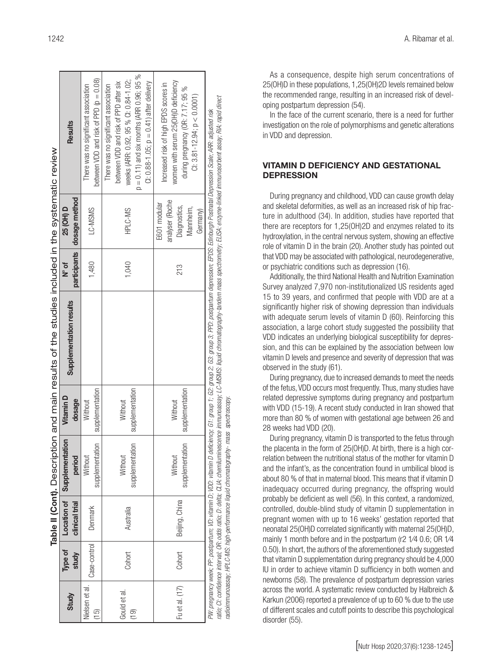|                |              |                |                                                                                       |                  | Table II (Cont). Description and main results of the studies included in the systematic review                                                                                                                   |        |                              |                                                                                                                                                                                               |
|----------------|--------------|----------------|---------------------------------------------------------------------------------------|------------------|------------------------------------------------------------------------------------------------------------------------------------------------------------------------------------------------------------------|--------|------------------------------|-----------------------------------------------------------------------------------------------------------------------------------------------------------------------------------------------|
| Study          | Type of      |                | Location of Supplementation                                                           | <b>Vitamin D</b> | Supplementation results                                                                                                                                                                                          | ័<br>≥ | 25 (OH) D                    | <b>Results</b>                                                                                                                                                                                |
|                | study        | clinical trial | period                                                                                | dosage           |                                                                                                                                                                                                                  |        | participants   dosage method |                                                                                                                                                                                               |
| Nielsen et al. | Case-control | Denmark        | Without                                                                               | Without          |                                                                                                                                                                                                                  | 1,480  | LC-MSMS                      | There was no significant association                                                                                                                                                          |
| (15)           |              |                | supplementation                                                                       | supplementation  |                                                                                                                                                                                                                  |        |                              | between VDD and risk of PPD ( $p = 0.08$ )                                                                                                                                                    |
|                |              |                |                                                                                       |                  |                                                                                                                                                                                                                  |        |                              | There was no significant association                                                                                                                                                          |
| Gould et al.   |              |                | Without                                                                               | Without          |                                                                                                                                                                                                                  |        |                              | between VDD and risk of PPD after six                                                                                                                                                         |
|                | Cohort       | Australia      |                                                                                       |                  |                                                                                                                                                                                                                  | 1,040  | HPLC-MS                      | weeks (ARR: 0.92, 95 % Cl: 0.84-1.02;                                                                                                                                                         |
| (19)           |              |                | supplementation                                                                       | supplementation  |                                                                                                                                                                                                                  |        |                              | $p = 0.11$ ) and six months (ARR 0.96; 95 %                                                                                                                                                   |
|                |              |                |                                                                                       |                  |                                                                                                                                                                                                                  |        |                              | Cl: $0.88 - 1.05$ ; $p = 0.41$ ) after delivery                                                                                                                                               |
|                |              |                |                                                                                       |                  |                                                                                                                                                                                                                  |        | E601 modular                 | Increased risk of high EPDS scores in                                                                                                                                                         |
|                |              |                | Without                                                                               | Without          |                                                                                                                                                                                                                  |        | analyser (Roche              |                                                                                                                                                                                               |
| Fu et al. (17) | Cohort       | Beijing, China | supplementation                                                                       | supplementation  |                                                                                                                                                                                                                  | 213    | Diagnostics,                 | women with serum 25(OH)D deficiency<br>during pregnancy (OR: 7.17; 95 %                                                                                                                       |
|                |              |                |                                                                                       |                  |                                                                                                                                                                                                                  |        | Mannheim,                    |                                                                                                                                                                                               |
|                |              |                |                                                                                       |                  |                                                                                                                                                                                                                  |        | Germany)                     | $Cl: 3.81 - 12.94$ ; $p < 0.0001$ )                                                                                                                                                           |
|                |              |                |                                                                                       |                  | PIV. pregnancy week; PP: postpartum; VD: vitamin D; VDD: vitamin D deficiency; G1; group 2; G2: group 2; G3: group 3; PPD: postpartum depression; EPDS: Edinburgh Postnatal Depression Scale; ARR: adjusted risk |        |                              |                                                                                                                                                                                               |
|                |              |                | radioimmunoassay; HPLC-MS: high-performance liquid chromatography- mass spectroscopy. |                  |                                                                                                                                                                                                                  |        |                              | ratio; CI: confidence interval; OR: odds ratio; D: delta; CLIA; chemiluminescence immunoscence symplery tanden mass spectrometry; ELISA: enzyme-linked immunosorbent assay; RIA: rapid direct |
|                |              |                |                                                                                       |                  |                                                                                                                                                                                                                  |        |                              |                                                                                                                                                                                               |

As a consequence, despite high serum concentrations of 25(OH)D in these populations, 1,25(OH)2D levels remained below the recommended range, resulting in an increased risk of developing postpartum depression (54).

In the face of the current scenario, there is a need for further investigation on the role of polymorphisms and genetic alterations in VDD and depression.

# VITAMIN D DEFICIENCY AND GESTATIONAL **DEPRESSION**

During pregnancy and childhood, VDD can cause growth delay and skeletal deformities, as well as an increased risk of hip fracture in adulthood (34). In addition, studies have reported that there are receptors for 1,25(OH)2D and enzymes related to its hydroxylation, in the central nervous system, showing an effective role of vitamin D in the brain (20). Another study has pointed out that VDD may be associated with pathological, neurodegenerative, or psychiatric conditions such as depression (16).

Additionally, the third National Health and Nutrition Examination Survey analyzed 7,970 non-institutionalized US residents aged 15 to 39 years, and confirmed that people with VDD are at a significantly higher risk of showing depression than individuals with adequate serum levels of vitamin D (60). Reinforcing this association, a large cohort study suggested the possibility that VDD indicates an underlying biological susceptibility for depression, and this can be explained by the association between low vitamin D levels and presence and severity of depression that was observed in the study (61).

During pregnancy, due to increased demands to meet the needs of the fetus, VDD occurs most frequently. Thus, many studies have related depressive symptoms during pregnancy and postpartum with VDD (15-19). A recent study conducted in Iran showed that more than 80 % of women with gestational age between 26 and 28 weeks had VDD (20).

During pregnancy, vitamin D is transported to the fetus through the placenta in the form of 25(OH)D. At birth, there is a high correlation between the nutritional status of the mother for vitamin D and the infant's, as the concentration found in umbilical blood is about 80 % of that in maternal blood. This means that if vitamin D inadequacy occurred during pregnancy, the offspring would probably be deficient as well (56). In this context, a randomized, controlled, double-blind study of vitamin D supplementation in pregnant women with up to 16 weeks' gestation reported that neonatal 25(OH)D correlated significantly with maternal 25(OH)D, mainly 1 month before and in the postpartum (r2 1⁄4 0.6; OR 1⁄4 0.50). In short, the authors of the aforementioned study suggested that vitamin D supplementation during pregnancy should be 4,000 IU in order to achieve vitamin D sufficiency in both women and newborns (58). The prevalence of postpartum depression varies across the world. A systematic review conducted by Halbreich & Karkun (2006) reported a prevalence of up to 60 % due to the use of different scales and cutoff points to describe this psychological disorder (55).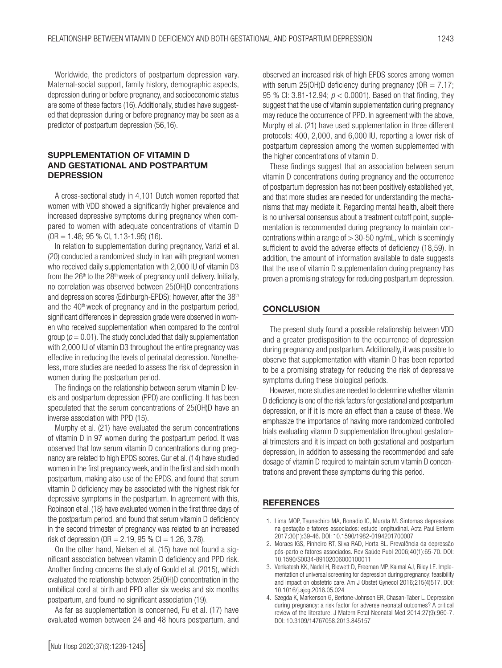Worldwide, the predictors of postpartum depression vary. Maternal-social support, family history, demographic aspects, depression during or before pregnancy, and socioeconomic status are some of these factors (16). Additionally, studies have suggested that depression during or before pregnancy may be seen as a predictor of postpartum depression (56,16).

# SUPPLEMENTATION OF VITAMIN D AND GESTATIONAL AND POSTPARTUM **DEPRESSION**

A cross-sectional study in 4,101 Dutch women reported that women with VDD showed a significantly higher prevalence and increased depressive symptoms during pregnancy when compared to women with adequate concentrations of vitamin D (OR = 1.48; 95 % CI, 1.13-1.95) (16).

In relation to supplementation during pregnancy, Varizi et al. (20) conducted a randomized study in Iran with pregnant women who received daily supplementation with 2,000 IU of vitamin D3 from the  $26<sup>th</sup>$  to the  $28<sup>th</sup>$  week of pregnancy until delivery. Initially, no correlation was observed between 25(OH)D concentrations and depression scores (Edinburgh-EPDS); however, after the 38<sup>th</sup> and the 40<sup>th</sup> week of pregnancy and in the postpartum period, significant differences in depression grade were observed in women who received supplementation when compared to the control group ( $p = 0.01$ ). The study concluded that daily supplementation with 2,000 IU of vitamin D3 throughout the entire pregnancy was effective in reducing the levels of perinatal depression. Nonetheless, more studies are needed to assess the risk of depression in women during the postpartum period.

The findings on the relationship between serum vitamin D levels and postpartum depression (PPD) are conflicting. It has been speculated that the serum concentrations of 25(OH)D have an inverse association with PPD (15).

Murphy et al. (21) have evaluated the serum concentrations of vitamin D in 97 women during the postpartum period. It was observed that low serum vitamin D concentrations during pregnancy are related to high EPDS scores. Gur et al. (14) have studied women in the first pregnancy week, and in the first and sixth month postpartum, making also use of the EPDS, and found that serum vitamin D deficiency may be associated with the highest risk for depressive symptoms in the postpartum. In agreement with this, Robinson et al. (18) have evaluated women in the first three days of the postpartum period, and found that serum vitamin D deficiency in the second trimester of pregnancy was related to an increased risk of depression (OR =  $2.19$ ,  $95\%$  Cl =  $1.26$ ,  $3.78$ ).

On the other hand, Nielsen et al. (15) have not found a significant association between vitamin D deficiency and PPD risk. Another finding concerns the study of Gould et al. (2015), which evaluated the relationship between 25(OH)D concentration in the umbilical cord at birth and PPD after six weeks and six months postpartum, and found no significant association (19).

As far as supplementation is concerned, Fu et al. (17) have evaluated women between 24 and 48 hours postpartum, and observed an increased risk of high EPDS scores among women with serum 25(OH)D deficiency during pregnancy ( $OR = 7.17$ ; 95 % CI: 3.81-12.94; *p* < 0.0001). Based on that finding, they suggest that the use of vitamin supplementation during pregnancy may reduce the occurrence of PPD. In agreement with the above, Murphy et al. (21) have used supplementation in three different protocols: 400, 2,000, and 6,000 IU, reporting a lower risk of postpartum depression among the women supplemented with the higher concentrations of vitamin D.

These findings suggest that an association between serum vitamin D concentrations during pregnancy and the occurrence of postpartum depression has not been positively established yet, and that more studies are needed for understanding the mechanisms that may mediate it. Regarding mental health, albeit there is no universal consensus about a treatment cutoff point, supplementation is recommended during pregnancy to maintain concentrations within a range of  $> 30-50$  ng/mL, which is seemingly sufficient to avoid the adverse effects of deficiency (18,59). In addition, the amount of information available to date suggests that the use of vitamin D supplementation during pregnancy has proven a promising strategy for reducing postpartum depression.

### **CONCLUSION**

The present study found a possible relationship between VDD and a greater predisposition to the occurrence of depression during pregnancy and postpartum. Additionally, it was possible to observe that supplementation with vitamin D has been reported to be a promising strategy for reducing the risk of depressive symptoms during these biological periods.

However, more studies are needed to determine whether vitamin D deficiency is one of the risk factors for gestational and postpartum depression, or if it is more an effect than a cause of these. We emphasize the importance of having more randomized controlled trials evaluating vitamin D supplementation throughout gestational trimesters and it is impact on both gestational and postpartum depression, in addition to assessing the recommended and safe dosage of vitamin D required to maintain serum vitamin D concentrations and prevent these symptoms during this period.

#### **REFERENCES**

- 1. Lima MOP, Tsunechiro MA, Bonadio IC, Murata M. Sintomas depressivos na gestação e fatores associados: estudo longitudinal. Acta Paul Enferm 2017;30(1):39-46. DOI: 10.1590/1982-0194201700007
- 2. Moraes IGS, Pinheiro RT, Silva RAD, Horta BL. Prevalência da depressão pós-parto e fatores associados. Rev Saúde Publ 2006;40(1):65-70. DOI: 10.1590/S0034-89102006000100011
- 3. Venkatesh KK, Nadel H, Blewett D, Freeman MP, Kaimal AJ, Riley LE. Implementation of universal screening for depression during pregnancy: feasibility and impact on obstetric care. Am J Obstet Gynecol 2016;215(4)517. DOI: 10.1016/j.ajog.2016.05.024
- 4. Szegda K, Markenson G, Bertone-Johnson ER, Chasan-Taber L. Depression during pregnancy: a risk factor for adverse neonatal outcomes? A critical review of the literature. J Matern Fetal Neonatal Med 2014;27(9):960-7. DOI: 10.3109/14767058.2013.845157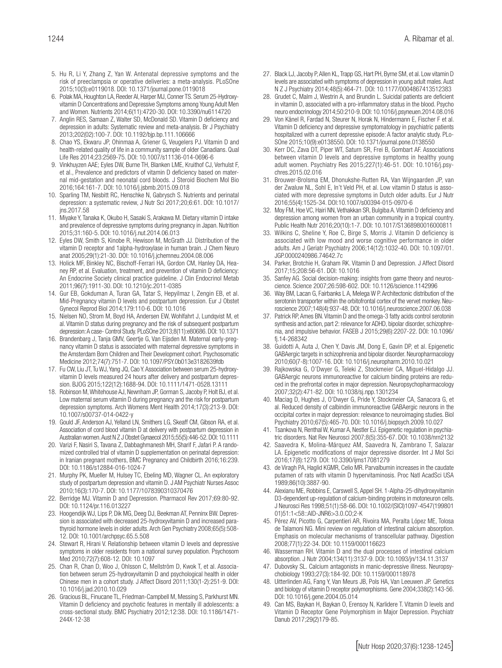- 5. Hu R, Li Y, Zhang Z, Yan W. Antenatal depressive symptoms and the risk of preeclampsia or operative deliveries: a meta-analysis. PLoSOne 2015;10(3):e0119018. DOI: 10.1371/journal.pone.0119018
- 6. Polak MA, Houghton LA, Reeder AI, Harper MJ, Conner TS. Serum 25-Hydroxyvitamin D Concentrations and Depressive Symptoms among Young Adult Men and Women. Nutrients 2014;6(11):4720-30. DOI: 10.3390/nu6114720
- 7. Anglin RES, Samaan Z, Walter SD, McDonald SD. Vitamin D deficiency and depression in adults: Systematic review and meta-analysis. Br J Psychiatry 2013;202(02):100-7. DOI: 10.1192/bjp.bp.111.106666
- 8. Chao YS, Ekwaru JP, Ohinmaa A, Griener G, Veugelers PJ. Vitamin D and health-related quality of life in a community sample of older Canadians. Qual Life Res 2014;23:2569-75. DOI: 10.1007/s11136-014-0696-6
- 9. Vinkhuyzen AAE; Eyles DW, Burne TH, Blanken LME, Kruithof CJ, Verhulst F, et al., Prevalence and predictors of vitamin D deficiency based on maternal mid-gestation and neonatal cord bloods. J Steroid Biochem Mol Bio 2016;164:161-7. DOI: 10.1016/j.jsbmb.2015.09.018
- 10. Sparling TM, Nesbitt RC, Henschke N, Gabrysch S. Nutrients and perinatal depression: a systematic review, J Nutr Sci 2017;20;6:61. DOI: 10.1017/ jns.2017.58
- 11. Miyake Y, Tanaka K, Okubo H, Sasaki S, Arakawa M. Dietary vitamin D intake and prevalence of depressive symptoms during pregnancy in Japan. Nutrition 2015;31:160-5. DOI: 10.1016/j.nut.2014.06.013
- 12. Eyles DW, Smith S, Kinobe R, Hewison M, McGrath JJ. Distribution of the vitamin D receptor and 1alpha-hydroxylase in human brain. J Chem Neuro anat 2005;29(1):21-30. DOI: 10.1016/j.jchemneu.2004.08.006
- 13. Holick MF, Binkley NC, Bischoff-Ferrari HA, Gordon CM, Hanley DA, Heaney RP, et al. Evaluation, treatment, and prevention of vitamin D deficiency: An Endocrine Society clinical practice guideline. J Clin Endocrinol Metab 2011;96(7):1911-30. DOI: 10.1210/jc.2011-0385
- 14. Gur EB, Gokduman A, Turan GA, Tatar S, Hepyilmaz I, Zengin EB, et al. Mid-Pregnancy vitamin D levels and postpartum depression. Eur J Obstet Gynecol Reprod Biol 2014;179:110-6. DOI: 10.1016
- 15. Nielsen NO, Strom M, Boyd HA, Andersen EW, Wohlfahrt J, Lundqvist M, et al. Vitamin D status during pregnancy and the risk of subsequent postpartum depression: A case- Control Study. PLoSOne 2013;8(11):e80686. DOI: 10.1371
- 16. Brandenbarg J, Tanja GMV, Geertje G, Van Eijsden M. Maternal early-pregnancy vitamin D status is associated with maternal depressive symptoms in the Amsterdam Born Children and Their Development cohort. Psychosomatic Medicine 2012;74(7):751-7. DOI: 10.1097/PSY.0b013e3182639fdb
- 17. Fu CW, Liu JT, Tu WJ, Yang JQ, Cao Y. Association between serum 25-hydroxyvitamin D levels measured 24 hours after delivery and postpartum depression. BJOG 2015;122(12):1688-94. DOI: 10.1111/1471-0528.13111
- 18. Robinson M, Whitehouse AJ, Newnham JP, Gorman S, Jacoby P, Holt BJ, et al. Low maternal serum vitamin D during pregnancy and the risk for postpartum depression symptoms. Arch Womens Ment Health 2014;17(3):213-9. DOI: 10.1007/s00737-014-0422-y
- 19. Gould JF, Anderson AJ, Yelland LN, Smithers LG, Skeaff CM, Gibson RA, et al. Association of cord blood vitamin D at delivery with postpartum depression in Australian women. Aust N Z J Obstet Gynaecol 2015;55(5):446-52. DOI: 10.1111
- 20. Varizi F, Nasiri S, Tavana Z, Dabbaghmanesh MH, Sharif F, Jafari P. A randomized controlled trial of vitamin D supplementation on perinatal depression: in Iranian pregnant mothers, BMC Pregnancy and Childbirth 2016;16:239. DOI: 10.1186/s12884-016-1024-7
- 21. Murphy PK, Mueller M, Hulsey TC, Ebeling MD, Wagner CL. An exploratory study of postpartum depression and vitamin D. J AM Psychiatr Nurses Assoc 2010;16(3):170-7. DOI: 10.1177/1078390310370476
- 22. Berridge MJ. Vitamin D and Depression. Pharmacol Rev 2017;69:80-92. DOI: 10.1124/pr.116.013227
- 23. Hoogendijk WJ, Lips P, Dik MG, Deeg DJ, Beekman AT, Penninx BW. Depression is associated with decreased 25-hydroxyvitamin D and increased parathyroid hormone levels in older adults. Arch Gen Psychiatry 2008;65(5):508- 12. DOI: 10.1001/archpsyc.65.5.508
- 24. Stewart R, Hirani V. Relationship between vitamin D levels and depressive symptoms in older residents from a national survey population. Psychosom Med 2010;72(7):608-12. DOI: 10.1097
- 25. Chan R, Chan D, Woo J, Ohlsson C, Mellström D, Kwok T, et al. Association between serum 25-hydroxyvitamin D and psychological health in older Chinese men in a cohort study. J Affect Disord 2011;130(1-2):251-9. DOI: 10.1016/j.jad.2010.10.029
- 26. Gracious BL, Finucane TL, Friedman-Campbell M, Messing S, Parkhurst MN. Vitamin D deficiency and psychotic features in mentally ill adolescents: a cross-sectional study. BMC Psychiatry 2012;12:38. DOI: 10.1186/1471- 244X-12-38
- 27. Black LJ, Jacoby P, Allen KL, Trapp GS, Hart PH, Byrne SM, et al. Low vitamin D levels are associated with symptoms of depression in young adult males. Aust N Z J Psychiatry 2014;48(5):464-71. DOI: 10.1177/0004867413512383
- 28. Grudet C, Malm J, Westrin A, and Brundin L. Suicidal patients are deficient in vitamin D, associated with a pro-inflammatory status in the blood. Psycho neuro endocrinology 2014;50:210-9. DOI: 10.1016/j.psyneuen.2014.08.016
- 29. Von Känel R, Fardad N, Steurer N, Horak N, Hindermann E, Fischer F et al. Vitamin D deficiency and depressive symptomatology in psychiatric patients hospitalized with a current depressive episode: A factor analytic study. PLo-SOne 2015;10(9):e0138550. DOI: 10.1371/journal.pone.0138550
- 30. Kerr DC, Zava DT, Piper WT, Saturn SR, Frei B, Gombart AF. Associations between vitamin D levels and depressive symptoms in healthy young adult women. Psychiatry Res 2015;227(1):46-51. DOI: 10.1016/j.psychres.2015.02.016
- 31. Brouwer-Brolsma EM, Dhonukshe-Rutten RA, Van Wijngaarden JP, van der Zwaluw NL, Sohl E, In't Veld PH, et al. Low vitamin D status is associated with more depressive symptoms in Dutch older adults. Eur J Nutr 2016;55(4):1525-34. DOI:10.1007/s00394-015-0970-6
- 32. Moy FM, Hoe VC, Hairi NN, Vethakkan SR, Bulgiba A. Vitamin D deficiency and depression among women from an urban community in a tropical country. Public Health Nutr 2016;20(10):1-7. DOI: 10.1017/S1368980016000811
- 33. Wilkins C, Sheline Y, Roe C, Birge S, Morris J. Vitamin D deficiency is associated with low mood and worse cognitive performance in older adults. Am J Geriatr Psychiatry 2006;14(12):1032-40. DOI: 10.1097/01. JGP.0000240986.74642.7c
- 34. Parker, Brotchie H, Graham RK. Vitamin D and Depression. J Affect Disord 2017;15;208:56-61. DOI: 10.1016
- 35. Sanfey AG. Social decision-making: insights from game theory and neuroscience. Science 2007;26:598-602. DOI: 10.1126/science.1142996
- 36. Way BM, Lacan G, Fairbanks L A, Melega W P. Architectonic distribution of the serotonin transporter within the orbitofrontal cortex of the vervet monkey. Neuroscience 2007;148(4):937-48. DOI: 10.1016/j.neuroscience.2007.06.038
- 37. Patrick RP, Ames BN. Vitamin D and the omega-3 fatty acids control serotonin synthesis and action, part 2: relevance for ADHD, bipolar disorder, schizophrenia, and impulsive behavior. FASEB J 2015;29(6):2207-22. DOI: 10.1096/ fj.14-268342
- 38. Guidotti A, Auta J, Chen Y, Davis JM, Dong E, Gavin DP, et al. Epigenetic GABAergic targets in schizophrenia and bipolar disorder. Neuropharmacology 2010;60(7-8):1007-16. DOI: 10.1016/j.neuropharm.2010.10.021
- 39. Rajkowska G, O'Dwyer G, Teleki Z, Stockmeier CA, Miguel-Hidalgo JJ. GABAergic neurons immunoreactive for calcium binding proteins are reduced in the prefrontal cortex in major depression. Neuropsychopharmacology 2007;32(2):471-82. DOI: 10.1038/sj.npp.1301234
- 40. Maciag D, Hughes J, O'Dwyer G, Pride Y, Stockmeier CA, Sanacora G, et al. Reduced density of calbindin immunoreactive GABAergic neurons in the occipital cortex in major depression: relevance to neuroimaging studies. Biol Psychiatry 2010;67(5):465-70. DOI: 10.1016/j.biopsych.2009.10.027
- 41. Tsankova N, Renthal W, Kumar A, Nestler EJ. Epigenetic regulation in psychiatric disorders. Nat Rev Neurosci 2007;8(5):355-67. DOI: 10.1038/nrn2132
- 42. Saavedra K, Molina-Márquez AM, Saavedra N, Zambrano T, Salazar LA. Epigenetic modifications of major depressive disorder. Int J Mol Sci 2016;17(8):1279. DOI: 10.3390/ijms17081279
- 43. de Viragh PA, Haglid KGMR, Celio MR. Parvalbumin increases in the caudate putamen of rats with vitamin D hypervitaminosis. Proc Natl AcadSci USA 1989;86(10):3887-90.
- 44. Alexianu ME, Robbins E, Carswell S, Appel SH. 1-Alpha-25-dihydroxyvitamin D3-dependent up-regulation of calcium-binding proteins in motoneuron cells. J Neurosci Res 1998;51(1):58-66. DOI: 10.1002/(SICI)1097-4547(199801 01)51:1<58::AID-JNR6>3.0.CO;2-K
- 45. Pérez AV, Picotto G, Carpentieri AR, Rivoira MA, Peralta López ME, Tolosa de Talamoni NG. Mini review on regulation of intestinal calcium absorption. Emphasis on molecular mechanisms of transcellular pathway. Digestion 2008;77(1):22-34. DOI: 10.1159/000116623
- 46. Wasserman RH. Vitamin D and the dual processes of intestinal calcium absorption. J Nutr 2004;134(11):3137-9. DOI: 10.1093/jn/134.11.3137
- 47. Dubovsky SL. Calcium antagonists in manic-depressive illness. Neuropsychobiology 1993;27(3):184-92. DOI: 10.1159/000118978
- 48. Uitterlinden AG, Fang Y, Van Meurs JB, Pols HA, Van Leeuwen JP. Genetics and biology of vitamin D receptor polymorphisms. Gene 2004;338(2):143-56. DOI: 10.1016/j.gene.2004.05.014
- 49. Can MS, Baykan H, Baykan O, Erensoy N, Karlidere T. Vitamin D levels and Vitamin D Receptor Gene Polymorphism in Major Depression. Psychiatr Danub 2017;29(2)179-85.